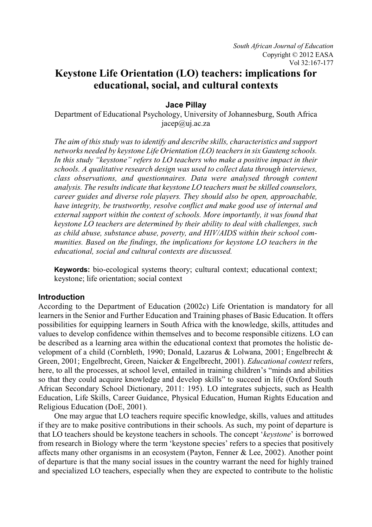# **Keystone Life Orientation (LO) teachers: implications for educational, social, and cultural contexts**

**Jace Pillay**

Department of Educational Psychology, University of Johannesburg, South Africa jacep@uj.ac.za

*The aim of this study was to identify and describe skills, characteristics and support networks needed by keystone Life Orientation (LO) teachers in six Gauteng schools. In this study "keystone" refers to LO teachers who make a positive impact in their schools. A qualitative research design was used to collect data through interviews, class observations, and questionnaires. Data were analysed through content analysis. The results indicate that keystone LO teachers must be skilled counselors, career guides and diverse role players. They should also be open, approachable, have integrity, be trustworthy, resolve conflict and make good use of internal and external support within the context of schools. More importantly, it was found that keystone LO teachers are determined by their ability to deal with challenges, such as child abuse, substance abuse, poverty, and HIV/AIDS within their school communities. Based on the findings, the implications for keystone LO teachers in the educational, social and cultural contexts are discussed.* 

**Keywords:** bio-ecological systems theory; cultural context; educational context; keystone; life orientation; social context

# **Introduction**

According to the Department of Education (2002c) Life Orientation is mandatory for all learners in the Senior and Further Education and Training phases of Basic Education. It offers possibilities for equipping learners in South Africa with the knowledge, skills, attitudes and values to develop confidence within themselves and to become responsible citizens. LO can be described as a learning area within the educational context that promotes the holistic development of a child (Cornbleth, 1990; Donald, Lazarus & Lolwana, 2001; Engelbrecht & Green, 2001; Engelbrecht, Green, Naicker & Engelbrecht, 2001). *Educational context* refers, here, to all the processes, at school level, entailed in training children's "minds and abilities so that they could acquire knowledge and develop skills" to succeed in life (Oxford South African Secondary School Dictionary, 2011: 195). LO integrates subjects, such as Health Education, Life Skills, Career Guidance, Physical Education, Human Rights Education and Religious Education (DoE, 2001).

One may argue that LO teachers require specific knowledge, skills, values and attitudes if they are to make positive contributions in their schools. As such, my point of departure is that LO teachers should be keystone teachers in schools. The concept '*keystone*' is borrowed from research in Biology where the term 'keystone species' refers to a species that positively affects many other organisms in an ecosystem (Payton, Fenner & Lee, 2002). Another point of departure is that the many social issues in the country warrant the need for highly trained and specialized LO teachers, especially when they are expected to contribute to the holistic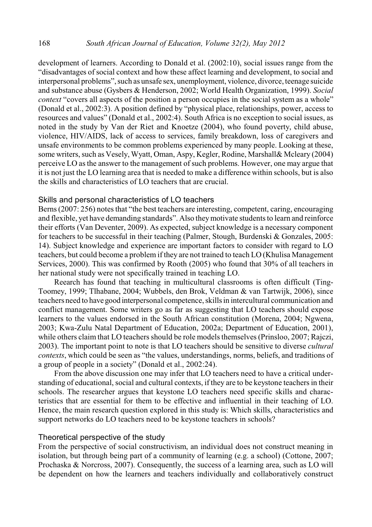development of learners. According to Donald et al. (2002:10), social issues range from the "disadvantages of social context and how these affect learning and development, to social and interpersonal problems", such as unsafe sex, unemployment, violence, divorce, teenage suicide and substance abuse (Gysbers & Henderson, 2002; World Health Organization, 1999). *Social context* "covers all aspects of the position a person occupies in the social system as a whole" (Donald et al., 2002:3). A position defined by "physical place, relationships, power, access to resources and values" (Donald et al., 2002:4). South Africa is no exception to social issues, as noted in the study by Van der Riet and Knoetze (2004), who found poverty, child abuse, violence, HIV/AIDS, lack of access to services, family breakdown, loss of caregivers and unsafe environments to be common problems experienced by many people. Looking at these, some writers, such as Vesely, Wyatt, Oman, Aspy, Kegler, Rodine, Marshall& Mcleary (2004) perceive LO as the answer to the management of such problems. However, one may argue that it is not just the LO learning area that is needed to make a difference within schools, but is also the skills and characteristics of LO teachers that are crucial.

## Skills and personal characteristics of LO teachers

Berns (2007: 256) notes that "the best teachers are interesting, competent, caring, encouraging and flexible, yet have demanding standards". Also theymotivate students to learn and reinforce their efforts (Van Deventer, 2009). As expected, subject knowledge is a necessary component for teachers to be successful in their teaching (Palmer, Stough, Burdenski & Gonzales, 2005: 14). Subject knowledge and experience are important factors to consider with regard to LO teachers, but could become a problem if they are not trained to teach LO (Khulisa Management Services, 2000). This was confirmed by Rooth (2005) who found that 30% of all teachers in her national study were not specifically trained in teaching LO.

Reearch has found that teaching in multicultural classrooms is often difficult (Ting-Toomey, 1999; Tlhabane, 2004; Wubbels, den Brok, Veldman & van Tartwijk, 2006), since teachers need to have good interpersonal competence, skills in intercultural communication and conflict management. Some writers go as far as suggesting that LO teachers should expose learners to the values endorsed in the South African constitution (Morena, 2004; Ngwena, 2003; Kwa-Zulu Natal Department of Education, 2002a; Department of Education, 2001), while others claim that LO teachers should be role models themselves (Prinsloo, 2007; Rajczi, 2003). The important point to note is that LO teachers should be sensitive to diverse *cultural contexts*, which could be seen as "the values, understandings, norms, beliefs, and traditions of a group of people in a society" (Donald et al., 2002:24).

From the above discussion one may infer that LO teachers need to have a critical understanding of educational, social and cultural contexts, if they are to be keystone teachers in their schools. The researcher argues that keystone LO teachers need specific skills and characteristics that are essential for them to be effective and influential in their teaching of LO. Hence, the main research question explored in this study is: Which skills, characteristics and support networks do LO teachers need to be keystone teachers in schools?

#### Theoretical perspective of the study

From the perspective of social constructivism, an individual does not construct meaning in isolation, but through being part of a community of learning (e.g. a school) (Cottone, 2007; Prochaska & Norcross, 2007). Consequently, the success of a learning area, such as LO will be dependent on how the learners and teachers individually and collaboratively construct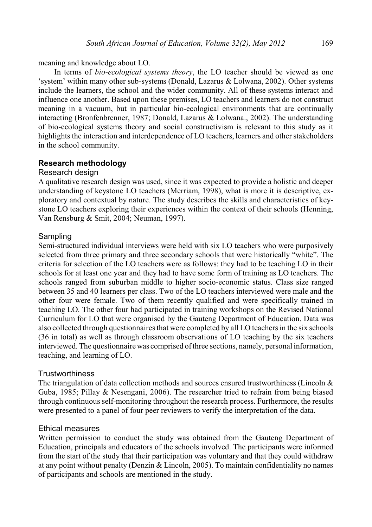meaning and knowledge about LO.

In terms of *bio-ecological systems theory*, the LO teacher should be viewed as one 'system' within many other sub-systems (Donald, Lazarus & Lolwana, 2002). Other systems include the learners, the school and the wider community. All of these systems interact and influence one another. Based upon these premises, LO teachers and learners do not construct meaning in a vacuum, but in particular bio-ecological environments that are continually interacting (Bronfenbrenner, 1987; Donald, Lazarus & Lolwana., 2002). The understanding of bio-ecological systems theory and social constructivism is relevant to this study as it highlights the interaction and interdependence of LO teachers, learners and other stakeholders in the school community.

### **Research methodology**

### Research design

A qualitative research design was used, since it was expected to provide a holistic and deeper understanding of keystone LO teachers (Merriam, 1998), what is more it is descriptive, exploratory and contextual by nature. The study describes the skills and characteristics of keystone LO teachers exploring their experiences within the context of their schools (Henning, Van Rensburg & Smit, 2004; Neuman, 1997).

### Sampling

Semi-structured individual interviews were held with six LO teachers who were purposively selected from three primary and three secondary schools that were historically "white". The criteria for selection of the LO teachers were as follows: they had to be teaching LO in their schools for at least one year and they had to have some form of training as LO teachers. The schools ranged from suburban middle to higher socio-economic status. Class size ranged between 35 and 40 learners per class. Two of the LO teachers interviewed were male and the other four were female. Two of them recently qualified and were specifically trained in teaching LO. The other four had participated in training workshops on the Revised National Curriculum for LO that were organised by the Gauteng Department of Education. Data was also collected through questionnaires that were completed by all LO teachers in the six schools (36 in total) as well as through classroom observations of LO teaching by the six teachers interviewed. The questionnaire was comprised of three sections, namely, personal information, teaching, and learning of LO.

#### **Trustworthiness**

The triangulation of data collection methods and sources ensured trustworthiness (Lincoln & Guba, 1985; Pillay & Nesengani, 2006). The researcher tried to refrain from being biased through continuous self-monitoring throughout the research process. Furthermore, the results were presented to a panel of four peer reviewers to verify the interpretation of the data.

### Ethical measures

Written permission to conduct the study was obtained from the Gauteng Department of Education, principals and educators of the schools involved. The participants were informed from the start of the study that their participation was voluntary and that they could withdraw at any point without penalty (Denzin & Lincoln, 2005). To maintain confidentiality no names of participants and schools are mentioned in the study.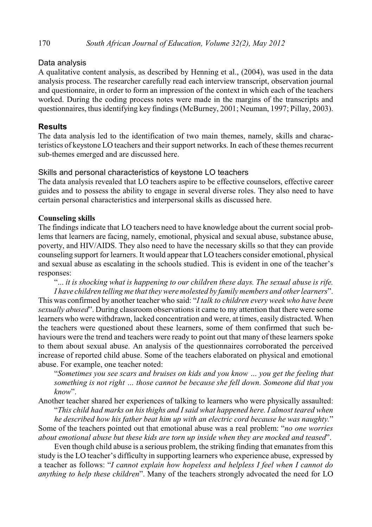# Data analysis

A qualitative content analysis, as described by Henning et al., (2004), was used in the data analysis process. The researcher carefully read each interview transcript, observation journal and questionnaire, in order to form an impression of the context in which each of the teachers worked. During the coding process notes were made in the margins of the transcripts and questionnaires, thus identifying key findings (McBurney, 2001; Neuman, 1997; Pillay, 2003).

# **Results**

The data analysis led to the identification of two main themes, namely, skills and characteristics of keystone LO teachers and their support networks. In each of these themes recurrent sub-themes emerged and are discussed here.

# Skills and personal characteristics of keystone LO teachers

The data analysis revealed that LO teachers aspire to be effective counselors, effective career guides and to possess the ability to engage in several diverse roles. They also need to have certain personal characteristics and interpersonal skills as discussed here.

# **Counseling skills**

The findings indicate that LO teachers need to have knowledge about the current social problems that learners are facing, namely, emotional, physical and sexual abuse, substance abuse, poverty, and HIV/AIDS. They also need to have the necessary skills so that they can provide counseling support for learners. It would appear that LO teachers consider emotional, physical and sexual abuse as escalating in the schools studied. This is evident in one of the teacher's responses:

"... *it is shocking what is happening to our children these days. The sexual abuse is rife. I have children telling me that they were molested by family members and other learners*". This was confirmed by another teacher who said: "*I talk to children every week who have been sexually abused*". During classroom observations it came to my attention that there were some learners who were withdrawn, lacked concentration and were, at times, easily distracted. When the teachers were questioned about these learners, some of them confirmed that such behaviours were the trend and teachers were ready to point out that many of these learners spoke to them about sexual abuse. An analysis of the questionnaires corroborated the perceived increase of reported child abuse. Some of the teachers elaborated on physical and emotional abuse. For example, one teacher noted:

"*Sometimes you see scars and bruises on kids and you know … you get the feeling that something is not right … those cannot be because she fell down. Someone did that you know*".

Another teacher shared her experiences of talking to learners who were physically assaulted: "*This child had marks on his thighs and I said what happened here. I almost teared when*

*he described how his father beat him up with an electric cord because he was naughty.*" Some of the teachers pointed out that emotional abuse was a real problem: "*no one worries about emotional abuse but these kids are torn up inside when they are mocked and teased*".

Even though child abuse is a serious problem, the striking finding that emanates from this study is the LO teacher's difficulty in supporting learners who experience abuse, expressed by a teacher as follows: "*I cannot explain how hopeless and helpless I feel when I cannot do anything to help these children*". Many of the teachers strongly advocated the need for LO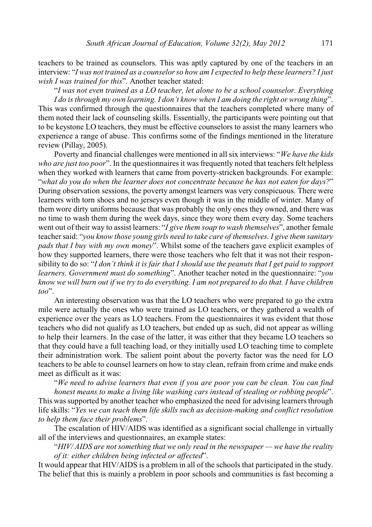teachers to be trained as counselors. This was aptly captured by one of the teachers in an interview: "*I was not trained as a counselor so how am I expected to help these learners? I just wish I was trained for this*". Another teacher stated:

"*I was not even trained as a LO teacher, let alone to be a school counselor. Everything I do is through my own learning. I don't know when I am doing the right or wrong thing*". This was confirmed through the questionnaires that the teachers completed where many of them noted their lack of counseling skills. Essentially, the participants were pointing out that to be keystone LO teachers, they must be effective counselors to assist the many learners who experience a range of abuse. This confirms some of the findings mentioned in the literature review (Pillay, 2005).

Poverty and financial challenges were mentioned in all six interviews: "*We have the kids who are just too poor*". In the questionnaires it was frequently noted that teachers felt helpless when they worked with learners that came from poverty-stricken backgrounds. For example: "*what do you do when the learner does not concentrate because he has not eaten for days?*" During observation sessions, the poverty amongst learners was very conspicuous. There were learners with torn shoes and no jerseys even though it was in the middle of winter. Many of them wore dirty uniforms because that was probably the only ones they owned, and there was no time to wash them during the week days, since they wore them every day. Some teachers went out of their way to assist learners: "*I give them soap to wash themselves*", another female teacher said: "*you know those young girls need to take care of themselves. I give them sanitary pads that I buy with my own money*". Whilst some of the teachers gave explicit examples of how they supported learners, there were those teachers who felt that it was not their responsibility to do so: "*I don't think it is fair that I should use the peanuts that I get paid to support learners. Government must do something*". Another teacher noted in the questionnaire: "*you know we will burn out if we try to do everything. I am not prepared to do that. I have children too*".

An interesting observation was that the LO teachers who were prepared to go the extra mile were actually the ones who were trained as LO teachers, or they gathered a wealth of experience over the years as LO teachers. From the questionnaires it was evident that those teachers who did not qualify as LO teachers, but ended up as such, did not appear as willing to help their learners. In the case of the latter, it was either that they became LO teachers so that they could have a full teaching load, or they initially used LO teaching time to complete their administration work. The salient point about the poverty factor was the need for LO teachers to be able to counsel learners on how to stay clean, refrain from crime and make ends meet as difficult as it was:

"*We need to advise learners that even if you are poor you can be clean. You can find*

*honest means to make a living like washing cars instead of stealing or robbing people*". This was supported by another teacher who emphasized the need for advising learners through life skills: "*Yes we can teach them life skills such as decision-making and conflict resolution to help them face their problems*".

The escalation of HIV/AIDS was identified as a significant social challenge in virtually all of the interviews and questionnaires, an example states:

"*HIV/ AIDS are not something that we only read in the newspaper — we have the reality of it: either children being infected or affected*".

It would appear that HIV/AIDS is a problem in all of the schools that participated in the study. The belief that this is mainly a problem in poor schools and communities is fast becoming a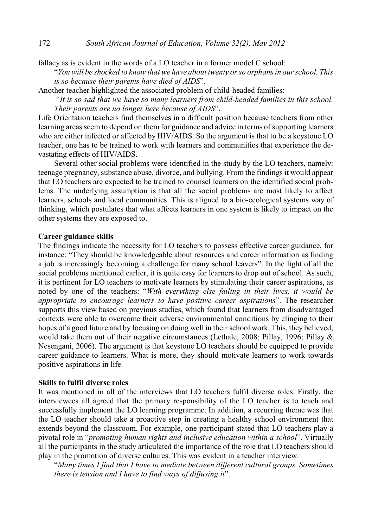fallacy as is evident in the words of a LO teacher in a former model C school:

"*You will be shocked to know that we have about twenty or so orphans in our school. This is so because their parents have died of AIDS*".

Another teacher highlighted the associated problem of child-headed families:

"*It is so sad that we have so many learners from child-headed families in this school. Their parents are no longer here because of AIDS*".

Life Orientation teachers find themselves in a difficult position because teachers from other learning areas seem to depend on them for guidance and advice in terms of supporting learners who are either infected or affected by HIV/AIDS. So the argument is that to be a keystone LO teacher, one has to be trained to work with learners and communities that experience the devastating effects of HIV/AIDS.

Several other social problems were identified in the study by the LO teachers, namely: teenage pregnancy, substance abuse, divorce, and bullying. From the findings it would appear that LO teachers are expected to be trained to counsel learners on the identified social problems. The underlying assumption is that all the social problems are most likely to affect learners, schools and local communities. This is aligned to a bio-ecological systems way of thinking, which postulates that what affects learners in one system is likely to impact on the other systems they are exposed to.

### **Career guidance skills**

The findings indicate the necessity for LO teachers to possess effective career guidance, for instance: "They should be knowledgeable about resources and career information as finding a job is increasingly becoming a challenge for many school leavers". In the light of all the social problems mentioned earlier, it is quite easy for learners to drop out of school. As such, it is pertinent for LO teachers to motivate learners by stimulating their career aspirations, as noted by one of the teachers: "*With everything else failing in their lives, it would be appropriate to encourage learners to have positive career aspirations*". The researcher supports this view based on previous studies, which found that learners from disadvantaged contexts were able to overcome their adverse environmental conditions by clinging to their hopes of a good future and by focusing on doing well in their school work. This, they believed, would take them out of their negative circumstances (Lethale, 2008; Pillay, 1996; Pillay & Nesengani, 2006). The argument is that keystone LO teachers should be equipped to provide career guidance to learners. What is more, they should motivate learners to work towards positive aspirations in life.

### **Skills to fulfil diverse roles**

It was mentioned in all of the interviews that LO teachers fulfil diverse roles. Firstly, the interviewees all agreed that the primary responsibility of the LO teacher is to teach and successfully implement the LO learning programme. In addition, a recurring theme was that the LO teacher should take a proactive step in creating a healthy school environment that extends beyond the classroom. For example, one participant stated that LO teachers play a pivotal role in "*promoting human rights and inclusive education within a school*". Virtually all the participants in the study articulated the importance of the role that LO teachers should play in the promotion of diverse cultures. This was evident in a teacher interview:

"*Many times I find that I have to mediate between different cultural groups. Sometimes there is tension and I have to find ways of diffusing it*".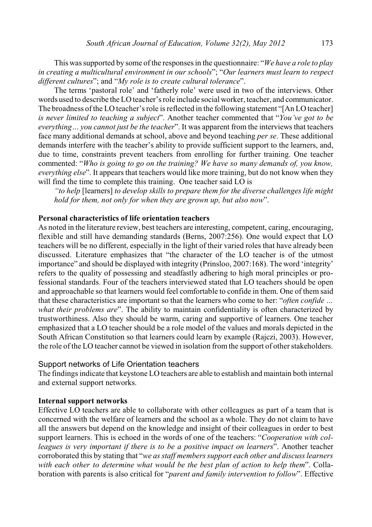This was supported by some of the responses in the questionnaire: "*We have a role to play in creating a multicultural environment in our schools*"; "*Our learners must learn to respect different cultures*"; and "*My role is to create cultural tolerance*".

The terms 'pastoral role' and 'fatherly role' were used in two of the interviews. Other words used to describe the LO teacher's role include social worker, teacher, and communicator. The broadness of the LO teacher's role is reflected in the following statement "[An LO teacher] *is never limited to teaching a subject*". Another teacher commented that "*You've got to be everything… you cannot just be the teacher*". It was apparent from the interviews that teachers face many additional demands at school, above and beyond teaching *per se*. These additional demands interfere with the teacher's ability to provide sufficient support to the learners, and, due to time, constraints prevent teachers from enrolling for further training. One teacher commented: "*Who is going to go on the training? We have so many demands of, you know, everything else*". It appears that teachers would like more training, but do not know when they will find the time to complete this training. One teacher said LO is

*"to help* [learners] *to develop skills to prepare them for the diverse challenges life might hold for them, not only for when they are grown up, but also now*".

### **Personal characteristics of life orientation teachers**

As noted in the literature review, best teachers are interesting, competent, caring, encouraging, flexible and still have demanding standards (Berns, 2007:256). One would expect that LO teachers will be no different, especially in the light of their varied roles that have already been discussed. Literature emphasizes that "the character of the LO teacher is of the utmost importance" and should be displayed with integrity (Prinsloo, 2007:168). The word 'integrity' refers to the quality of possessing and steadfastly adhering to high moral principles or professional standards. Four of the teachers interviewed stated that LO teachers should be open and approachable so that learners would feel comfortable to confide in them. One of them said that these characteristics are important so that the learners who come to her: "*often confide … what their problems are*". The ability to maintain confidentiality is often characterized by trustworthiness. Also they should be warm, caring and supportive of learners. One teacher emphasized that a LO teacher should be a role model of the values and morals depicted in the South African Constitution so that learners could learn by example (Rajczi, 2003). However, the role of the LO teacher cannot be viewed in isolation from the support of other stakeholders.

#### Support networks of Life Orientation teachers

The findings indicate that keystone LO teachers are able to establish and maintain both internal and external support networks.

#### **Internal support networks**

Effective LO teachers are able to collaborate with other colleagues as part of a team that is concerned with the welfare of learners and the school as a whole. They do not claim to have all the answers but depend on the knowledge and insight of their colleagues in order to best support learners. This is echoed in the words of one of the teachers: "*Cooperation with colleagues is very important if there is to be a positive impact on learners*". Another teacher corroborated this by stating that "*we as staff members support each other and discuss learners with each other to determine what would be the best plan of action to help them*". Collaboration with parents is also critical for "*parent and family intervention to follow*". Effective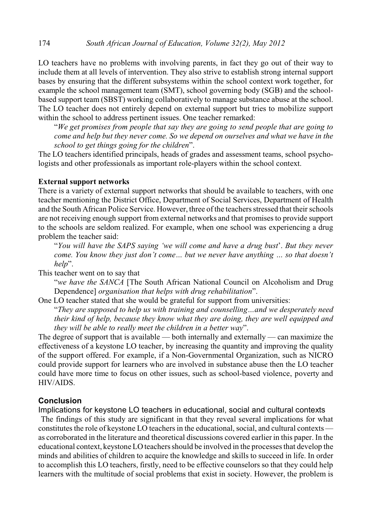LO teachers have no problems with involving parents, in fact they go out of their way to include them at all levels of intervention. They also strive to establish strong internal support bases by ensuring that the different subsystems within the school context work together, for example the school management team (SMT), school governing body (SGB) and the schoolbased support team (SBST) working collaboratively to manage substance abuse at the school. The LO teacher does not entirely depend on external support but tries to mobilize support within the school to address pertinent issues. One teacher remarked:

"*We get promises from people that say they are going to send people that are going to come and help but they never come. So we depend on ourselves and what we have in the school to get things going for the children*".

The LO teachers identified principals, heads of grades and assessment teams, school psychologists and other professionals as important role-players within the school context.

### **External support networks**

There is a variety of external support networks that should be available to teachers, with one teacher mentioning the District Office, Department of Social Services, Department of Health and the South African Police Service. However, three of the teachers stressed that their schools are not receiving enough support from external networks and that promises to provide support to the schools are seldom realized. For example, when one school was experiencing a drug problem the teacher said:

"*You will have the SAPS saying 'we will come and have a drug bust*'. *But they never come. You know they just don't come… but we never have anything … so that doesn't help*".

This teacher went on to say that

"*we have the SANCA* [The South African National Council on Alcoholism and Drug Dependence] *organisation that helps with drug rehabilitation*".

One LO teacher stated that she would be grateful for support from universities:

"*They are supposed to help us with training and counselling…and we desperately need their kind of help, because they know what they are doing, they are well equipped and they will be able to really meet the children in a better way*".

The degree of support that is available — both internally and externally — can maximize the effectiveness of a keystone LO teacher, by increasing the quantity and improving the quality of the support offered. For example, if a Non-Governmental Organization, such as NICRO could provide support for learners who are involved in substance abuse then the LO teacher could have more time to focus on other issues, such as school-based violence, poverty and HIV/AIDS.

# **Conclusion**

Implications for keystone LO teachers in educational, social and cultural contexts

The findings of this study are significant in that they reveal several implications for what constitutes the role of keystone LO teachers in the educational, social, and cultural contexts as corroborated in the literature and theoretical discussions covered earlier in this paper. In the educational context, keystone LO teachers should be involved in the processes that develop the minds and abilities of children to acquire the knowledge and skills to succeed in life. In order to accomplish this LO teachers, firstly, need to be effective counselors so that they could help learners with the multitude of social problems that exist in society. However, the problem is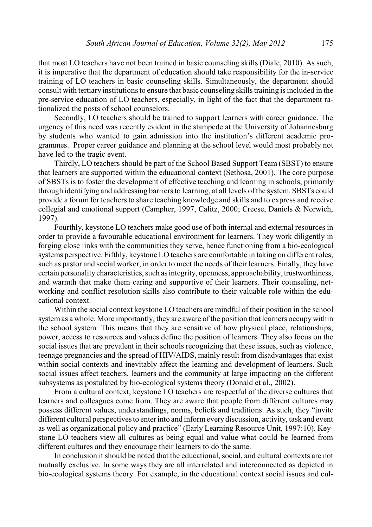that most LO teachers have not been trained in basic counseling skills (Diale, 2010). As such, it is imperative that the department of education should take responsibility for the in-service training of LO teachers in basic counseling skills. Simultaneously, the department should consult with tertiary institutions to ensure that basic counseling skills training is included in the pre-service education of LO teachers, especially, in light of the fact that the department rationalized the posts of school counselors.

Secondly, LO teachers should be trained to support learners with career guidance. The urgency of this need was recently evident in the stampede at the University of Johannesburg by students who wanted to gain admission into the institution's different academic programmes. Proper career guidance and planning at the school level would most probably not have led to the tragic event.

Thirdly, LO teachers should be part of the School Based Support Team (SBST) to ensure that learners are supported within the educational context (Sethosa, 2001). The core purpose of SBSTs is to foster the development of effective teaching and learning in schools, primarily through identifying and addressing barriers to learning, at all levels of the system. SBSTs could provide a forum for teachers to share teaching knowledge and skills and to express and receive collegial and emotional support (Campher, 1997, Calitz, 2000; Creese, Daniels & Norwich, 1997).

Fourthly, keystone LO teachers make good use of both internal and external resources in order to provide a favourable educational environment for learners. They work diligently in forging close links with the communities they serve, hence functioning from a bio-ecological systems perspective. Fifthly, keystone LO teachers are comfortable in taking on different roles, such as pastor and social worker, in order to meet the needs of their learners. Finally, they have certain personality characteristics, such as integrity, openness, approachability, trustworthiness, and warmth that make them caring and supportive of their learners. Their counseling, networking and conflict resolution skills also contribute to their valuable role within the educational context.

Within the social context keystone LO teachers are mindful of their position in the school systemas a whole. More importantly, they are aware of the position that learners occupy within the school system. This means that they are sensitive of how physical place, relationships, power, access to resources and values define the position of learners. They also focus on the social issues that are prevalent in their schools recognizing that these issues, such as violence, teenage pregnancies and the spread of HIV/AIDS, mainly result from disadvantages that exist within social contexts and inevitably affect the learning and development of learners. Such social issues affect teachers, learners and the community at large impacting on the different subsystems as postulated by bio-ecological systems theory (Donald et al., 2002).

From a cultural context, keystone LO teachers are respectful of the diverse cultures that learners and colleagues come from. They are aware that people from different cultures may possess different values, understandings, norms, beliefs and traditions. As such, they "invite different cultural perspectives to enter into and informevery discussion, activity, task and event as well as organizational policy and practice" (Early Learning Resource Unit, 1997:10). Keystone LO teachers view all cultures as being equal and value what could be learned from different cultures and they encourage their learners to do the same.

In conclusion it should be noted that the educational, social, and cultural contexts are not mutually exclusive. In some ways they are all interrelated and interconnected as depicted in bio-ecological systems theory. For example, in the educational context social issues and cul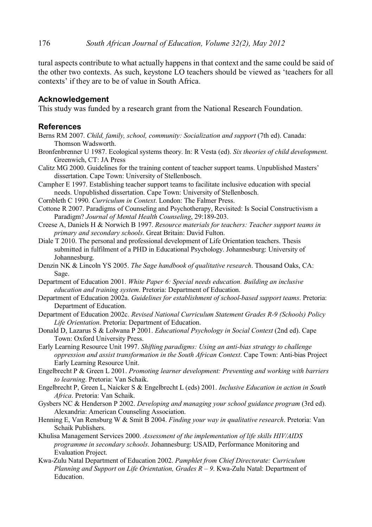tural aspects contribute to what actually happens in that context and the same could be said of the other two contexts. As such, keystone LO teachers should be viewed as 'teachers for all contexts' if they are to be of value in South Africa.

### **Acknowledgement**

This study was funded by a research grant from the National Research Foundation.

### **References**

- Berns RM 2007. *Child, family, school, community: Socialization and support* (7th ed). Canada: Thomson Wadsworth.
- Bronfenbrenner U 1987. Ecological systems theory. In: R Vesta (ed). *Six theories of child development*. Greenwich, CT: JA Press
- Calitz MG 2000. Guidelines for the training content of teacher support teams. Unpublished Masters' dissertation. Cape Town: University of Stellenbosch.
- Campher E 1997. Establishing teacher support teams to facilitate inclusive education with special needs. Unpublished dissertation. Cape Town: University of Stellenbosch.
- Cornbleth C 1990. *Curriculum in Context*. London: The Falmer Press.
- Cottone R 2007. Paradigms of Counseling and Psychotherapy, Revisited: Is Social Constructivism a Paradigm? *Journal of Mental Health Counseling*, 29:189-203.
- Creese A, Daniels H & Norwich B 1997. *Resource materials for teachers: Teacher support teams in primary and secondary schools*. Great Britain: David Fulton.
- Diale T 2010. The personal and professional development of Life Orientation teachers. Thesis submitted in fulfilment of a PHD in Educational Psychology. Johannesburg: University of Johannesburg.
- Denzin NK & Lincoln YS 2005. *The Sage handbook of qualitative research*. Thousand Oaks, CA: Sage.
- Department of Education 2001. *White Paper 6: Special needs education. Building an inclusive education and training system*. Pretoria: Department of Education.
- Department of Education 2002a. *Guidelines for establishment of school-based support teams*. Pretoria: Department of Education.
- Department of Education 2002c. *Revised National Curriculum Statement Grades R-9 (Schools) Policy Life Orientation*. Pretoria: Department of Education.
- Donald D, Lazarus S & Lolwana P 2001. *Educational Psychology in Social Context* (2nd ed). Cape Town: Oxford University Press.
- Early Learning Resource Unit 1997. *Shifting paradigms: Using an anti-bias strategy to challenge oppression and assist transformation in the South African Context*. Cape Town: Anti-bias Project Early Learning Resource Unit.
- Engelbrecht P & Green L 2001. *Promoting learner development: Preventing and working with barriers to learning*. Pretoria: Van Schaik.
- Engelbrecht P, Green L, Naicker S & Engelbrecht L (eds) 2001. *Inclusive Education in action in South Africa*. Pretoria: Van Schaik.
- Gysbers NC & Henderson P 2002. *Developing and managing your school guidance program* (3rd ed). Alexandria: American Counseling Association.
- Henning E, Van Rensburg W & Smit B 2004. *Finding your way in qualitative research*. Pretoria: Van Schaik Publishers.
- Khulisa Management Services 2000. *Assessment of the implementation of life skills HIV/AIDS programme in secondary schools*. Johannesburg: USAID, Performance Monitoring and Evaluation Project.
- Kwa-Zulu Natal Department of Education 2002. *Pamphlet from Chief Directorate: Curriculum Planning and Support on Life Orientation, Grades R – 9*. Kwa-Zulu Natal: Department of Education.